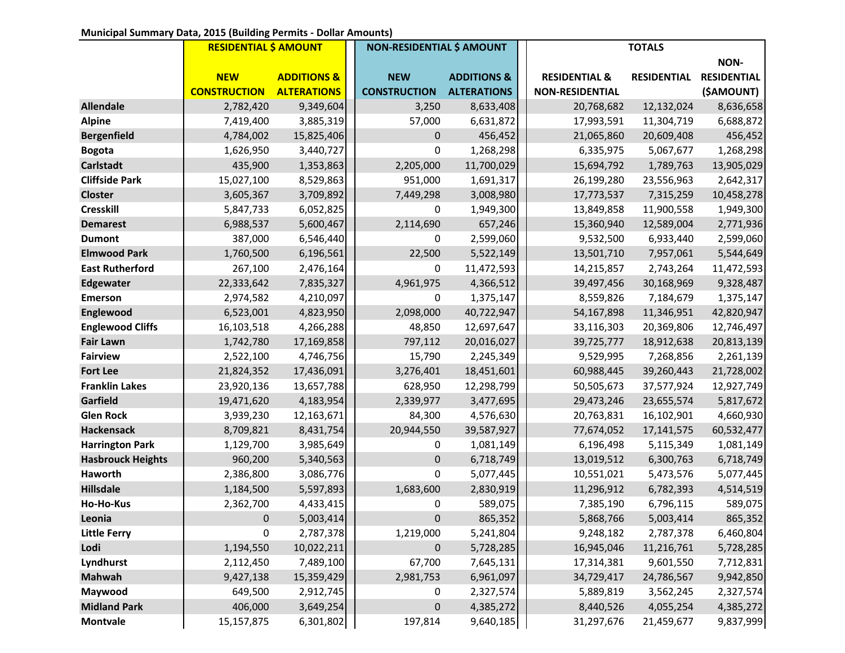## **Municipal Summary Data, 2015 (Building Permits - Dollar Amounts)**

|                          | <b>RESIDENTIAL \$ AMOUNT</b> |                        | <b>NON-RESIDENTIAL \$ AMOUNT</b> |                        | <b>TOTALS</b>            |                    |                    |
|--------------------------|------------------------------|------------------------|----------------------------------|------------------------|--------------------------|--------------------|--------------------|
|                          |                              |                        |                                  |                        |                          |                    | NON-               |
|                          | <b>NEW</b>                   | <b>ADDITIONS &amp;</b> | <b>NEW</b>                       | <b>ADDITIONS &amp;</b> | <b>RESIDENTIAL &amp;</b> | <b>RESIDENTIAL</b> | <b>RESIDENTIAL</b> |
|                          | <b>CONSTRUCTION</b>          | <b>ALTERATIONS</b>     | <b>CONSTRUCTION</b>              | <b>ALTERATIONS</b>     | <b>NON-RESIDENTIAL</b>   |                    | (\$AMOUNT)         |
| <b>Allendale</b>         | 2,782,420                    | 9,349,604              | 3,250                            | 8,633,408              | 20,768,682               | 12,132,024         | 8,636,658          |
| <b>Alpine</b>            | 7,419,400                    | 3,885,319              | 57,000                           | 6,631,872              | 17,993,591               | 11,304,719         | 6,688,872          |
| <b>Bergenfield</b>       | 4,784,002                    | 15,825,406             | 0                                | 456,452                | 21,065,860               | 20,609,408         | 456,452            |
| <b>Bogota</b>            | 1,626,950                    | 3,440,727              | 0                                | 1,268,298              | 6,335,975                | 5,067,677          | 1,268,298          |
| <b>Carlstadt</b>         | 435,900                      | 1,353,863              | 2,205,000                        | 11,700,029             | 15,694,792               | 1,789,763          | 13,905,029         |
| <b>Cliffside Park</b>    | 15,027,100                   | 8,529,863              | 951,000                          | 1,691,317              | 26,199,280               | 23,556,963         | 2,642,317          |
| <b>Closter</b>           | 3,605,367                    | 3,709,892              | 7,449,298                        | 3,008,980              | 17,773,537               | 7,315,259          | 10,458,278         |
| <b>Cresskill</b>         | 5,847,733                    | 6,052,825              | 0                                | 1,949,300              | 13,849,858               | 11,900,558         | 1,949,300          |
| <b>Demarest</b>          | 6,988,537                    | 5,600,467              | 2,114,690                        | 657,246                | 15,360,940               | 12,589,004         | 2,771,936          |
| <b>Dumont</b>            | 387,000                      | 6,546,440              | 0                                | 2,599,060              | 9,532,500                | 6,933,440          | 2,599,060          |
| <b>Elmwood Park</b>      | 1,760,500                    | 6,196,561              | 22,500                           | 5,522,149              | 13,501,710               | 7,957,061          | 5,544,649          |
| <b>East Rutherford</b>   | 267,100                      | 2,476,164              | 0                                | 11,472,593             | 14,215,857               | 2,743,264          | 11,472,593         |
| <b>Edgewater</b>         | 22,333,642                   | 7,835,327              | 4,961,975                        | 4,366,512              | 39,497,456               | 30,168,969         | 9,328,487          |
| <b>Emerson</b>           | 2,974,582                    | 4,210,097              | 0                                | 1,375,147              | 8,559,826                | 7,184,679          | 1,375,147          |
| Englewood                | 6,523,001                    | 4,823,950              | 2,098,000                        | 40,722,947             | 54,167,898               | 11,346,951         | 42,820,947         |
| <b>Englewood Cliffs</b>  | 16,103,518                   | 4,266,288              | 48,850                           | 12,697,647             | 33,116,303               | 20,369,806         | 12,746,497         |
| <b>Fair Lawn</b>         | 1,742,780                    | 17,169,858             | 797,112                          | 20,016,027             | 39,725,777               | 18,912,638         | 20,813,139         |
| <b>Fairview</b>          | 2,522,100                    | 4,746,756              | 15,790                           | 2,245,349              | 9,529,995                | 7,268,856          | 2,261,139          |
| <b>Fort Lee</b>          | 21,824,352                   | 17,436,091             | 3,276,401                        | 18,451,601             | 60,988,445               | 39,260,443         | 21,728,002         |
| <b>Franklin Lakes</b>    | 23,920,136                   | 13,657,788             | 628,950                          | 12,298,799             | 50,505,673               | 37,577,924         | 12,927,749         |
| Garfield                 | 19,471,620                   | 4,183,954              | 2,339,977                        | 3,477,695              | 29,473,246               | 23,655,574         | 5,817,672          |
| <b>Glen Rock</b>         | 3,939,230                    | 12,163,671             | 84,300                           | 4,576,630              | 20,763,831               | 16,102,901         | 4,660,930          |
| <b>Hackensack</b>        | 8,709,821                    | 8,431,754              | 20,944,550                       | 39,587,927             | 77,674,052               | 17, 141, 575       | 60,532,477         |
| <b>Harrington Park</b>   | 1,129,700                    | 3,985,649              | 0                                | 1,081,149              | 6,196,498                | 5,115,349          | 1,081,149          |
| <b>Hasbrouck Heights</b> | 960,200                      | 5,340,563              | 0                                | 6,718,749              | 13,019,512               | 6,300,763          | 6,718,749          |
| Haworth                  | 2,386,800                    | 3,086,776              | 0                                | 5,077,445              | 10,551,021               | 5,473,576          | 5,077,445          |
| <b>Hillsdale</b>         | 1,184,500                    | 5,597,893              | 1,683,600                        | 2,830,919              | 11,296,912               | 6,782,393          | 4,514,519          |
| Ho-Ho-Kus                | 2,362,700                    | 4,433,415              | 0                                | 589,075                | 7,385,190                | 6,796,115          | 589,075            |
| Leonia                   | $\mathbf 0$                  | 5,003,414              | $\mathbf{0}$                     | 865,352                | 5,868,766                | 5,003,414          | 865,352            |
| <b>Little Ferry</b>      | 0                            | 2,787,378              | 1,219,000                        | 5,241,804              | 9,248,182                | 2,787,378          | 6,460,804          |
| Lodi                     | 1,194,550                    | 10,022,211             | 0                                | 5,728,285              | 16,945,046               | 11,216,761         | 5,728,285          |
| Lyndhurst                | 2,112,450                    | 7,489,100              | 67,700                           | 7,645,131              | 17,314,381               | 9,601,550          | 7,712,831          |
| <b>Mahwah</b>            | 9,427,138                    | 15,359,429             | 2,981,753                        | 6,961,097              | 34,729,417               | 24,786,567         | 9,942,850          |
| Maywood                  | 649,500                      | 2,912,745              | 0                                | 2,327,574              | 5,889,819                | 3,562,245          | 2,327,574          |
| <b>Midland Park</b>      | 406,000                      | 3,649,254              | 0                                | 4,385,272              | 8,440,526                | 4,055,254          | 4,385,272          |
| <b>Montvale</b>          | 15,157,875                   | 6,301,802              | 197,814                          | 9,640,185              | 31,297,676               | 21,459,677         | 9,837,999          |